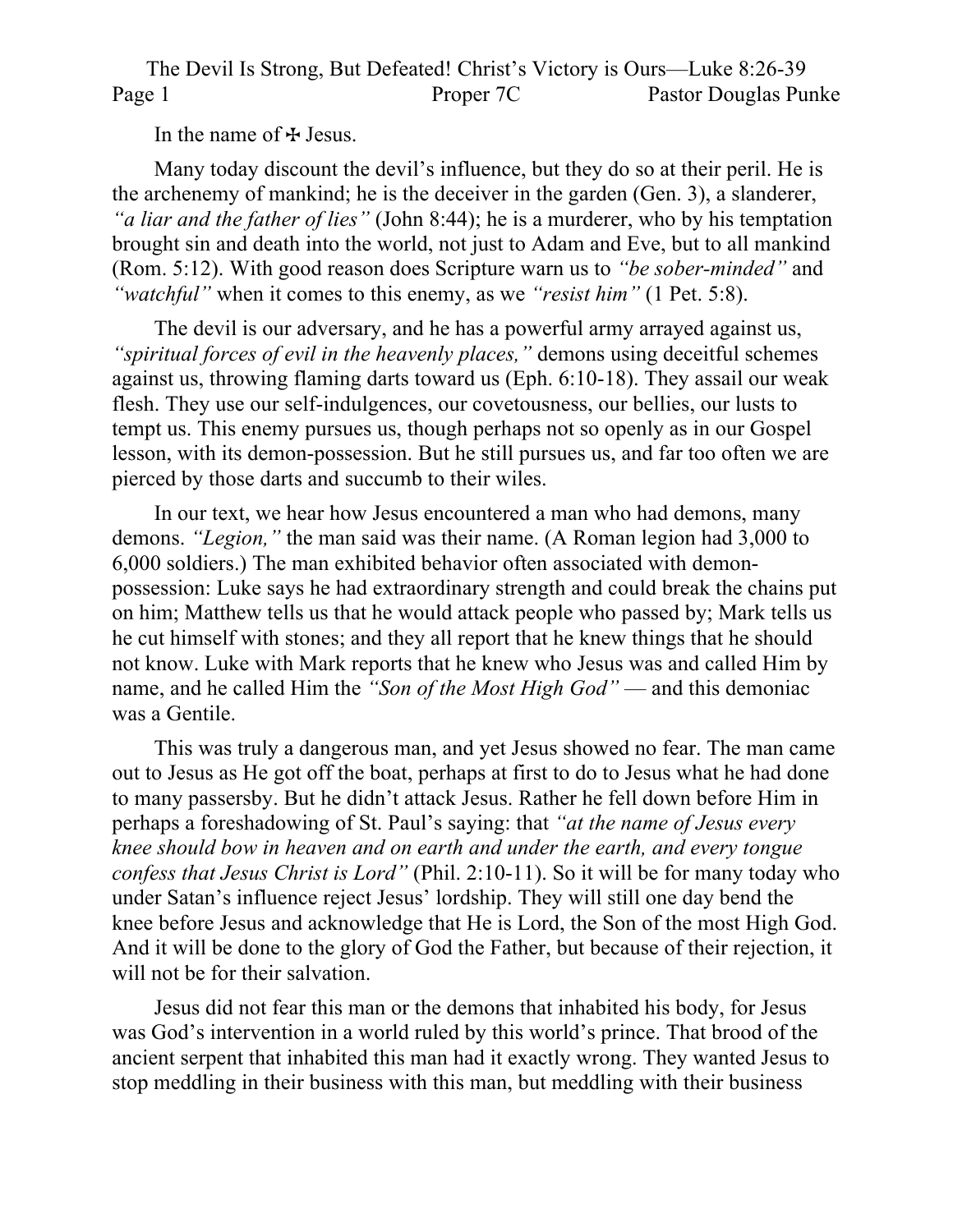The Devil Is Strong, But Defeated! Christ's Victory is Ours—Luke 8:26-39 Page 1 Proper 7C Pastor Douglas Punke

In the name of  $\pm$  Jesus.

Many today discount the devil's influence, but they do so at their peril. He is the archenemy of mankind; he is the deceiver in the garden (Gen. 3), a slanderer, *"a liar and the father of lies"* (John 8:44); he is a murderer, who by his temptation brought sin and death into the world, not just to Adam and Eve, but to all mankind (Rom. 5:12). With good reason does Scripture warn us to *"be sober-minded"* and *"watchful"* when it comes to this enemy, as we *"resist him"* (1 Pet. 5:8).

The devil is our adversary, and he has a powerful army arrayed against us, *"spiritual forces of evil in the heavenly places,"* demons using deceitful schemes against us, throwing flaming darts toward us (Eph. 6:10-18). They assail our weak flesh. They use our self-indulgences, our covetousness, our bellies, our lusts to tempt us. This enemy pursues us, though perhaps not so openly as in our Gospel lesson, with its demon-possession. But he still pursues us, and far too often we are pierced by those darts and succumb to their wiles.

In our text, we hear how Jesus encountered a man who had demons, many demons. *"Legion,"* the man said was their name. (A Roman legion had 3,000 to 6,000 soldiers.) The man exhibited behavior often associated with demonpossession: Luke says he had extraordinary strength and could break the chains put on him; Matthew tells us that he would attack people who passed by; Mark tells us he cut himself with stones; and they all report that he knew things that he should not know. Luke with Mark reports that he knew who Jesus was and called Him by name, and he called Him the *"Son of the Most High God"* — and this demoniac was a Gentile.

This was truly a dangerous man, and yet Jesus showed no fear. The man came out to Jesus as He got off the boat, perhaps at first to do to Jesus what he had done to many passersby. But he didn't attack Jesus. Rather he fell down before Him in perhaps a foreshadowing of St. Paul's saying: that *"at the name of Jesus every knee should bow in heaven and on earth and under the earth, and every tongue confess that Jesus Christ is Lord"* (Phil. 2:10-11). So it will be for many today who under Satan's influence reject Jesus' lordship. They will still one day bend the knee before Jesus and acknowledge that He is Lord, the Son of the most High God. And it will be done to the glory of God the Father, but because of their rejection, it will not be for their salvation.

Jesus did not fear this man or the demons that inhabited his body, for Jesus was God's intervention in a world ruled by this world's prince. That brood of the ancient serpent that inhabited this man had it exactly wrong. They wanted Jesus to stop meddling in their business with this man, but meddling with their business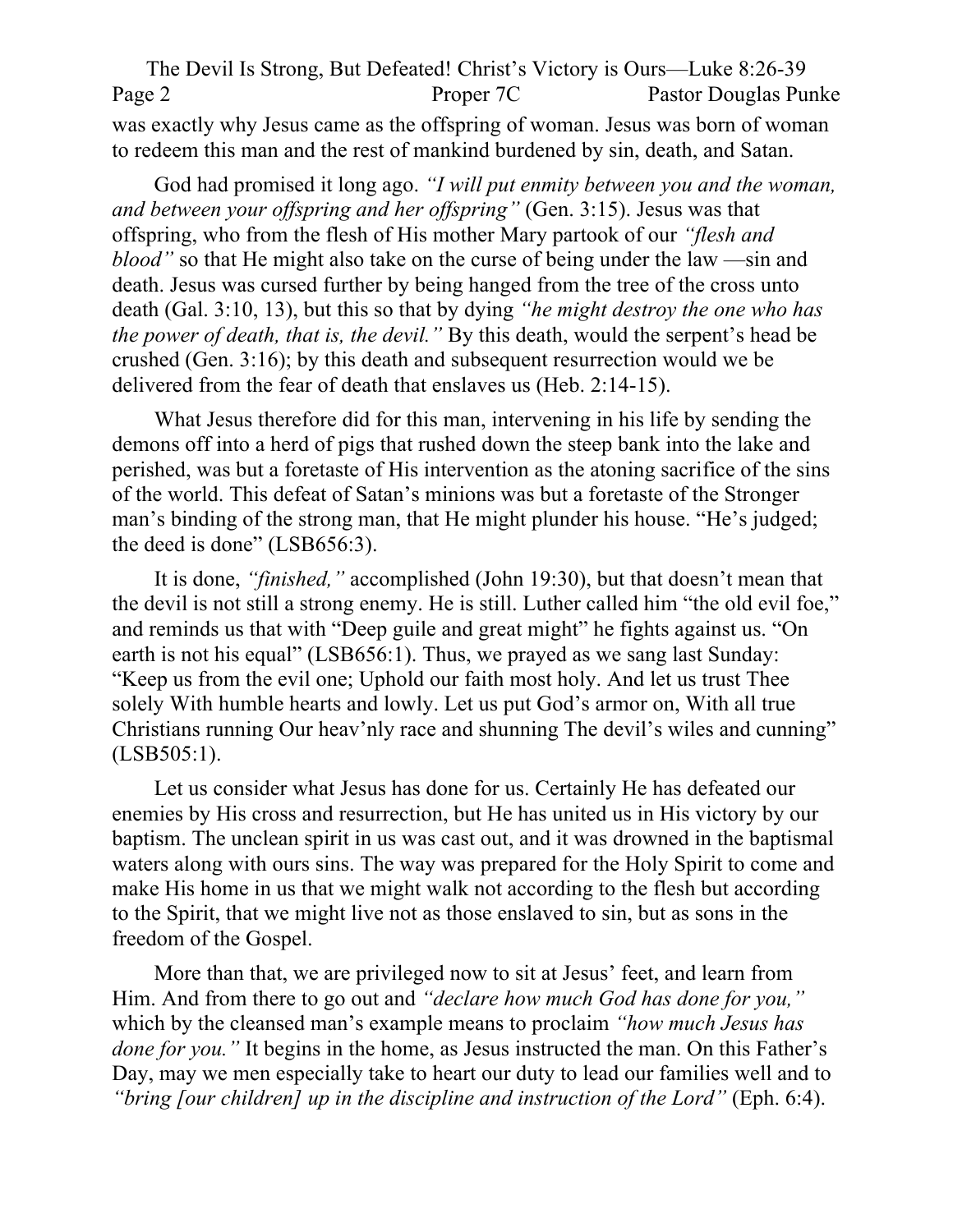The Devil Is Strong, But Defeated! Christ's Victory is Ours—Luke 8:26-39 Page 2 Proper 7C Pastor Douglas Punke was exactly why Jesus came as the offspring of woman. Jesus was born of woman to redeem this man and the rest of mankind burdened by sin, death, and Satan.

God had promised it long ago. *"I will put enmity between you and the woman, and between your offspring and her offspring"* (Gen. 3:15). Jesus was that offspring, who from the flesh of His mother Mary partook of our *"flesh and blood*" so that He might also take on the curse of being under the law —sin and death. Jesus was cursed further by being hanged from the tree of the cross unto death (Gal. 3:10, 13), but this so that by dying *"he might destroy the one who has the power of death, that is, the devil."* By this death, would the serpent's head be crushed (Gen. 3:16); by this death and subsequent resurrection would we be delivered from the fear of death that enslaves us (Heb. 2:14-15).

What Jesus therefore did for this man, intervening in his life by sending the demons off into a herd of pigs that rushed down the steep bank into the lake and perished, was but a foretaste of His intervention as the atoning sacrifice of the sins of the world. This defeat of Satan's minions was but a foretaste of the Stronger man's binding of the strong man, that He might plunder his house. "He's judged; the deed is done" (LSB656:3).

It is done, *"finished,"* accomplished (John 19:30), but that doesn't mean that the devil is not still a strong enemy. He is still. Luther called him "the old evil foe," and reminds us that with "Deep guile and great might" he fights against us. "On earth is not his equal" (LSB656:1). Thus, we prayed as we sang last Sunday: "Keep us from the evil one; Uphold our faith most holy. And let us trust Thee solely With humble hearts and lowly. Let us put God's armor on, With all true Christians running Our heav'nly race and shunning The devil's wiles and cunning" (LSB505:1).

Let us consider what Jesus has done for us. Certainly He has defeated our enemies by His cross and resurrection, but He has united us in His victory by our baptism. The unclean spirit in us was cast out, and it was drowned in the baptismal waters along with ours sins. The way was prepared for the Holy Spirit to come and make His home in us that we might walk not according to the flesh but according to the Spirit, that we might live not as those enslaved to sin, but as sons in the freedom of the Gospel.

More than that, we are privileged now to sit at Jesus' feet, and learn from Him. And from there to go out and *"declare how much God has done for you,"* which by the cleansed man's example means to proclaim *"how much Jesus has done for you.*" It begins in the home, as Jesus instructed the man. On this Father's Day, may we men especially take to heart our duty to lead our families well and to *"bring [our children] up in the discipline and instruction of the Lord"* (Eph. 6:4).